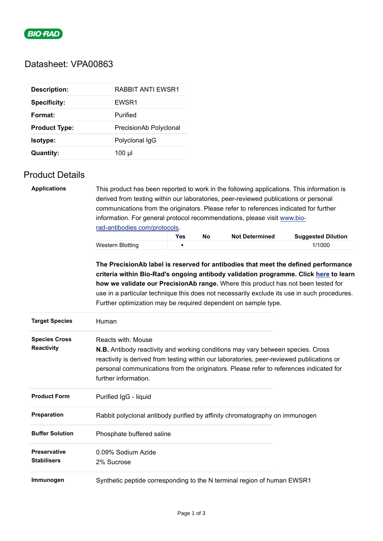

# Datasheet: VPA00863

| <b>Description:</b>  | RABBIT ANTI EWSR1      |
|----------------------|------------------------|
| <b>Specificity:</b>  | EWSR1                  |
| Format:              | Purified               |
| <b>Product Type:</b> | PrecisionAb Polyclonal |
| <b>Isotype:</b>      | Polyclonal IqG         |
| <b>Quantity:</b>     | 100 µl                 |

### Product Details

| <b>Applications</b>                       | This product has been reported to work in the following applications. This information is<br>derived from testing within our laboratories, peer-reviewed publications or personal<br>communications from the originators. Please refer to references indicated for further                                                                                                                                                       |     |    |                       |                           |  |  |
|-------------------------------------------|----------------------------------------------------------------------------------------------------------------------------------------------------------------------------------------------------------------------------------------------------------------------------------------------------------------------------------------------------------------------------------------------------------------------------------|-----|----|-----------------------|---------------------------|--|--|
|                                           | information. For general protocol recommendations, please visit www.bio-                                                                                                                                                                                                                                                                                                                                                         |     |    |                       |                           |  |  |
|                                           | rad-antibodies.com/protocols.                                                                                                                                                                                                                                                                                                                                                                                                    |     |    |                       |                           |  |  |
|                                           |                                                                                                                                                                                                                                                                                                                                                                                                                                  | Yes | No | <b>Not Determined</b> | <b>Suggested Dilution</b> |  |  |
|                                           | <b>Western Blotting</b>                                                                                                                                                                                                                                                                                                                                                                                                          |     |    |                       | 1/1000                    |  |  |
|                                           | The PrecisionAb label is reserved for antibodies that meet the defined performance<br>criteria within Bio-Rad's ongoing antibody validation programme. Click here to learn<br>how we validate our PrecisionAb range. Where this product has not been tested for<br>use in a particular technique this does not necessarily exclude its use in such procedures.<br>Further optimization may be required dependent on sample type. |     |    |                       |                           |  |  |
| <b>Target Species</b>                     | Human                                                                                                                                                                                                                                                                                                                                                                                                                            |     |    |                       |                           |  |  |
| <b>Species Cross</b><br>Reactivity        | <b>Reacts with: Mouse</b><br><b>N.B.</b> Antibody reactivity and working conditions may vary between species. Cross<br>reactivity is derived from testing within our laboratories, peer-reviewed publications or<br>personal communications from the originators. Please refer to references indicated for<br>further information.                                                                                               |     |    |                       |                           |  |  |
| <b>Product Form</b>                       | Purified IgG - liquid                                                                                                                                                                                                                                                                                                                                                                                                            |     |    |                       |                           |  |  |
| Preparation                               | Rabbit polyclonal antibody purified by affinity chromatography on immunogen                                                                                                                                                                                                                                                                                                                                                      |     |    |                       |                           |  |  |
| <b>Buffer Solution</b>                    | Phosphate buffered saline                                                                                                                                                                                                                                                                                                                                                                                                        |     |    |                       |                           |  |  |
| <b>Preservative</b><br><b>Stabilisers</b> | 0.09% Sodium Azide<br>2% Sucrose                                                                                                                                                                                                                                                                                                                                                                                                 |     |    |                       |                           |  |  |
| Immunogen                                 | Synthetic peptide corresponding to the N terminal region of human EWSR1                                                                                                                                                                                                                                                                                                                                                          |     |    |                       |                           |  |  |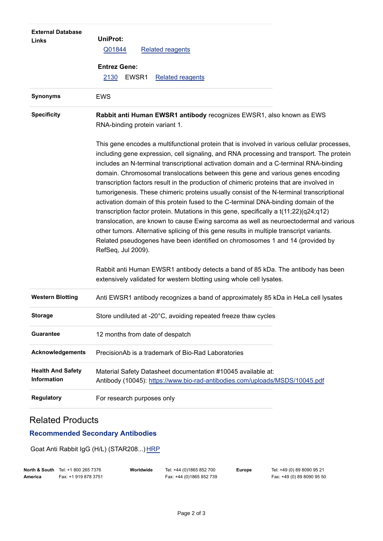| <b>External Database</b><br>Links              | UniProt:<br>Q01844<br><b>Related reagents</b><br><b>Entrez Gene:</b><br>EWSR1<br><b>Related reagents</b><br>2130                                                                                                                                                                                                                                                                                                                                                                                                                                                                                                                                                                                                                                                                                                                                                                                                                                                                                                                            |  |  |  |  |
|------------------------------------------------|---------------------------------------------------------------------------------------------------------------------------------------------------------------------------------------------------------------------------------------------------------------------------------------------------------------------------------------------------------------------------------------------------------------------------------------------------------------------------------------------------------------------------------------------------------------------------------------------------------------------------------------------------------------------------------------------------------------------------------------------------------------------------------------------------------------------------------------------------------------------------------------------------------------------------------------------------------------------------------------------------------------------------------------------|--|--|--|--|
| <b>Synonyms</b>                                | <b>EWS</b>                                                                                                                                                                                                                                                                                                                                                                                                                                                                                                                                                                                                                                                                                                                                                                                                                                                                                                                                                                                                                                  |  |  |  |  |
| <b>Specificity</b>                             | Rabbit anti Human EWSR1 antibody recognizes EWSR1, also known as EWS<br>RNA-binding protein variant 1.                                                                                                                                                                                                                                                                                                                                                                                                                                                                                                                                                                                                                                                                                                                                                                                                                                                                                                                                      |  |  |  |  |
|                                                | This gene encodes a multifunctional protein that is involved in various cellular processes,<br>including gene expression, cell signaling, and RNA processing and transport. The protein<br>includes an N-terminal transcriptional activation domain and a C-terminal RNA-binding<br>domain. Chromosomal translocations between this gene and various genes encoding<br>transcription factors result in the production of chimeric proteins that are involved in<br>tumorigenesis. These chimeric proteins usually consist of the N-terminal transcriptional<br>activation domain of this protein fused to the C-terminal DNA-binding domain of the<br>transcription factor protein. Mutations in this gene, specifically a $t(11;22)(q24;q12)$<br>translocation, are known to cause Ewing sarcoma as well as neuroectodermal and various<br>other tumors. Alternative splicing of this gene results in multiple transcript variants.<br>Related pseudogenes have been identified on chromosomes 1 and 14 (provided by<br>RefSeq, Jul 2009). |  |  |  |  |
|                                                | Rabbit anti Human EWSR1 antibody detects a band of 85 kDa. The antibody has been<br>extensively validated for western blotting using whole cell lysates.                                                                                                                                                                                                                                                                                                                                                                                                                                                                                                                                                                                                                                                                                                                                                                                                                                                                                    |  |  |  |  |
| <b>Western Blotting</b>                        | Anti EWSR1 antibody recognizes a band of approximately 85 kDa in HeLa cell lysates                                                                                                                                                                                                                                                                                                                                                                                                                                                                                                                                                                                                                                                                                                                                                                                                                                                                                                                                                          |  |  |  |  |
| <b>Storage</b>                                 | Store undiluted at -20°C, avoiding repeated freeze thaw cycles                                                                                                                                                                                                                                                                                                                                                                                                                                                                                                                                                                                                                                                                                                                                                                                                                                                                                                                                                                              |  |  |  |  |
| <b>Guarantee</b>                               | 12 months from date of despatch                                                                                                                                                                                                                                                                                                                                                                                                                                                                                                                                                                                                                                                                                                                                                                                                                                                                                                                                                                                                             |  |  |  |  |
| <b>Acknowledgements</b>                        | PrecisionAb is a trademark of Bio-Rad Laboratories                                                                                                                                                                                                                                                                                                                                                                                                                                                                                                                                                                                                                                                                                                                                                                                                                                                                                                                                                                                          |  |  |  |  |
| <b>Health And Safety</b><br><b>Information</b> | Material Safety Datasheet documentation #10045 available at:<br>Antibody (10045): https://www.bio-rad-antibodies.com/uploads/MSDS/10045.pdf                                                                                                                                                                                                                                                                                                                                                                                                                                                                                                                                                                                                                                                                                                                                                                                                                                                                                                 |  |  |  |  |
| <b>Regulatory</b>                              | For research purposes only                                                                                                                                                                                                                                                                                                                                                                                                                                                                                                                                                                                                                                                                                                                                                                                                                                                                                                                                                                                                                  |  |  |  |  |

## Related Products

# **Recommended Secondary Antibodies**

Goat Anti Rabbit IgG (H/L) (STAR208...) [HRP](https://www.bio-rad-antibodies.com/polyclonal/rabbit-lapine-igg-antibody-star208.html)

|         | <b>North &amp; South</b> Tel: +1 800 265 7376 | Worldwide | Tel: +44 (0)1865 852 700 | Europe | Tel: +49 (0) 89 8090 95 21 |
|---------|-----------------------------------------------|-----------|--------------------------|--------|----------------------------|
| America | Fax: +1 919 878 3751                          |           | Fax: +44 (0)1865 852 739 |        | Fax: +49 (0) 89 8090 95 50 |